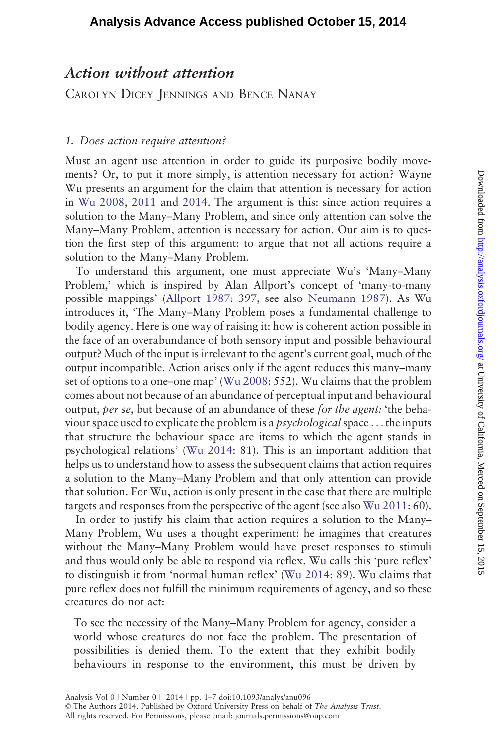# Downloaded from http://analysis.oxfordjournals.org/ at University of California, Merced on September 15, 2015 Downloaded trom <http://analysis.oxfordjournals.org/> at University of Califorma, Merced on September 15, 2015

# Action without attention

CAROLYN DICEY JENNINGS AND BENCE NANAY

## 1. Does action require attention?

Must an agent use attention in order to guide its purposive bodily movements? Or, to put it more simply, is attention necessary for action? Wayne Wu presents an argument for the claim that attention is necessary for action in [Wu 2008,](#page-6-0) [2011](#page-6-0) and [2014.](#page-6-0) The argument is this: since action requires a solution to the Many–Many Problem, and since only attention can solve the Many–Many Problem, attention is necessary for action. Our aim is to question the first step of this argument: to argue that not all actions require a solution to the Many–Many Problem.

To understand this argument, one must appreciate Wu's 'Many–Many Problem,' which is inspired by Alan Allport's concept of 'many-to-many possible mappings' ([Allport 1987](#page-6-0): 397, see also [Neumann 1987](#page-6-0)). As Wu introduces it, 'The Many–Many Problem poses a fundamental challenge to bodily agency. Here is one way of raising it: how is coherent action possible in the face of an overabundance of both sensory input and possible behavioural output? Much of the input is irrelevant to the agent's current goal, much of the output incompatible. Action arises only if the agent reduces this many–many set of options to a one–one map' ([Wu 2008:](#page-6-0) 552). Wu claims that the problem comes about not because of an abundance of perceptual input and behavioural output, per se, but because of an abundance of these for the agent: 'the behaviour space used to explicate the problem is a *psychological* space  $\dots$  the inputs that structure the behaviour space are items to which the agent stands in psychological relations' ([Wu 2014](#page-6-0): 81). This is an important addition that helps us to understand how to assess the subsequent claims that action requires a solution to the Many–Many Problem and that only attention can provide that solution. For Wu, action is only present in the case that there are multiple targets and responses from the perspective of the agent (see also [Wu 2011:](#page-6-0) 60).

In order to justify his claim that action requires a solution to the Many– Many Problem, Wu uses a thought experiment: he imagines that creatures without the Many–Many Problem would have preset responses to stimuli and thus would only be able to respond via reflex. Wu calls this 'pure reflex' to distinguish it from 'normal human reflex' [\(Wu 2014:](#page-6-0) 89). Wu claims that pure reflex does not fulfill the minimum requirements of agency, and so these creatures do not act:

To see the necessity of the Many–Many Problem for agency, consider a world whose creatures do not face the problem. The presentation of possibilities is denied them. To the extent that they exhibit bodily behaviours in response to the environment, this must be driven by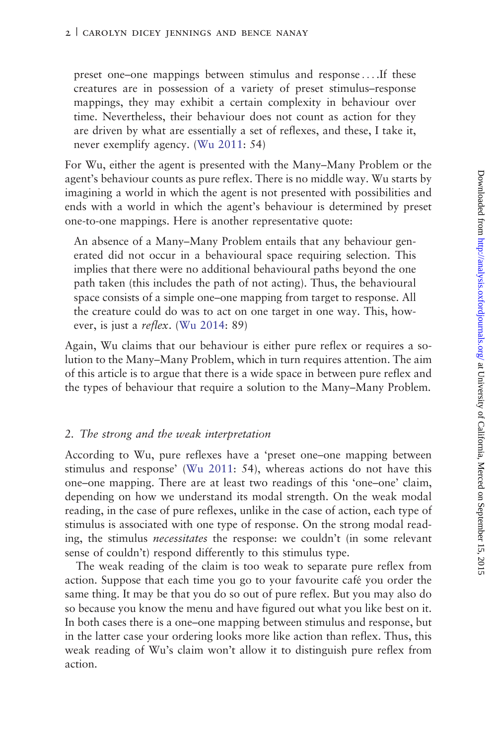preset one–one mappings between stimulus and response ... .If these creatures are in possession of a variety of preset stimulus–response mappings, they may exhibit a certain complexity in behaviour over time. Nevertheless, their behaviour does not count as action for they are driven by what are essentially a set of reflexes, and these, I take it, never exemplify agency. ([Wu 2011](#page-6-0): 54)

For Wu, either the agent is presented with the Many–Many Problem or the agent's behaviour counts as pure reflex. There is no middle way. Wu starts by imagining a world in which the agent is not presented with possibilities and ends with a world in which the agent's behaviour is determined by preset one-to-one mappings. Here is another representative quote:

An absence of a Many–Many Problem entails that any behaviour generated did not occur in a behavioural space requiring selection. This implies that there were no additional behavioural paths beyond the one path taken (this includes the path of not acting). Thus, the behavioural space consists of a simple one–one mapping from target to response. All the creature could do was to act on one target in one way. This, however, is just a reflex. [\(Wu 2014](#page-6-0): 89)

Again, Wu claims that our behaviour is either pure reflex or requires a solution to the Many–Many Problem, which in turn requires attention. The aim of this article is to argue that there is a wide space in between pure reflex and the types of behaviour that require a solution to the Many–Many Problem.

### 2. The strong and the weak interpretation

According to Wu, pure reflexes have a 'preset one–one mapping between stimulus and response' ([Wu 2011:](#page-6-0) 54), whereas actions do not have this one–one mapping. There are at least two readings of this 'one–one' claim, depending on how we understand its modal strength. On the weak modal reading, in the case of pure reflexes, unlike in the case of action, each type of stimulus is associated with one type of response. On the strong modal reading, the stimulus necessitates the response: we couldn't (in some relevant sense of couldn't) respond differently to this stimulus type.

The weak reading of the claim is too weak to separate pure reflex from action. Suppose that each time you go to your favourite café you order the same thing. It may be that you do so out of pure reflex. But you may also do so because you know the menu and have figured out what you like best on it. In both cases there is a one–one mapping between stimulus and response, but in the latter case your ordering looks more like action than reflex. Thus, this weak reading of Wu's claim won't allow it to distinguish pure reflex from action.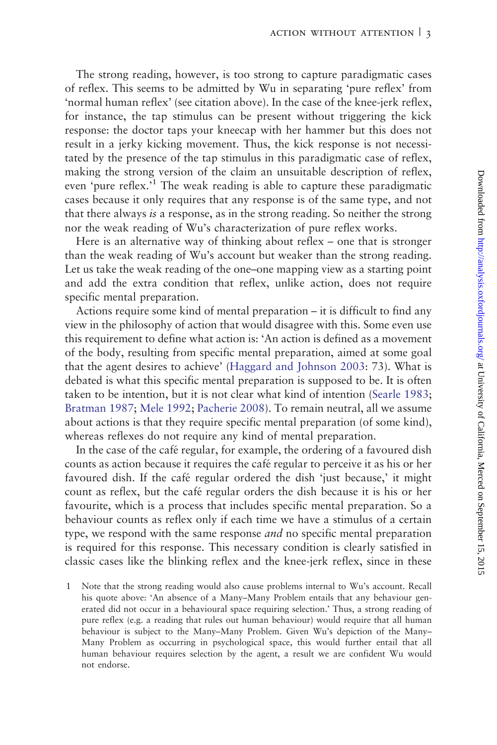The strong reading, however, is too strong to capture paradigmatic cases of reflex. This seems to be admitted by Wu in separating 'pure reflex' from 'normal human reflex' (see citation above). In the case of the knee-jerk reflex, for instance, the tap stimulus can be present without triggering the kick response: the doctor taps your kneecap with her hammer but this does not result in a jerky kicking movement. Thus, the kick response is not necessitated by the presence of the tap stimulus in this paradigmatic case of reflex, making the strong version of the claim an unsuitable description of reflex, even 'pure reflex.<sup>1</sup> The weak reading is able to capture these paradigmatic cases because it only requires that any response is of the same type, and not that there always is a response, as in the strong reading. So neither the strong nor the weak reading of Wu's characterization of pure reflex works.

Here is an alternative way of thinking about reflex – one that is stronger than the weak reading of Wu's account but weaker than the strong reading. Let us take the weak reading of the one–one mapping view as a starting point and add the extra condition that reflex, unlike action, does not require specific mental preparation.

Actions require some kind of mental preparation – it is difficult to find any view in the philosophy of action that would disagree with this. Some even use this requirement to define what action is: 'An action is defined as a movement of the body, resulting from specific mental preparation, aimed at some goal that the agent desires to achieve' ([Haggard and Johnson 2003](#page-6-0): 73). What is debated is what this specific mental preparation is supposed to be. It is often taken to be intention, but it is not clear what kind of intention ([Searle 1983;](#page-6-0) [Bratman 1987](#page-6-0); [Mele 1992](#page-6-0); [Pacherie 2008\)](#page-6-0). To remain neutral, all we assume about actions is that they require specific mental preparation (of some kind), whereas reflexes do not require any kind of mental preparation.

In the case of the café regular, for example, the ordering of a favoured dish counts as action because it requires the cafe´ regular to perceive it as his or her favoured dish. If the café regular ordered the dish 'just because,' it might count as reflex, but the café regular orders the dish because it is his or her favourite, which is a process that includes specific mental preparation. So a behaviour counts as reflex only if each time we have a stimulus of a certain type, we respond with the same response *and* no specific mental preparation is required for this response. This necessary condition is clearly satisfied in classic cases like the blinking reflex and the knee-jerk reflex, since in these

1 Note that the strong reading would also cause problems internal to Wu's account. Recall his quote above: 'An absence of a Many–Many Problem entails that any behaviour generated did not occur in a behavioural space requiring selection.' Thus, a strong reading of pure reflex (e.g. a reading that rules out human behaviour) would require that all human behaviour is subject to the Many–Many Problem. Given Wu's depiction of the Many– Many Problem as occurring in psychological space, this would further entail that all human behaviour requires selection by the agent, a result we are confident Wu would not endorse.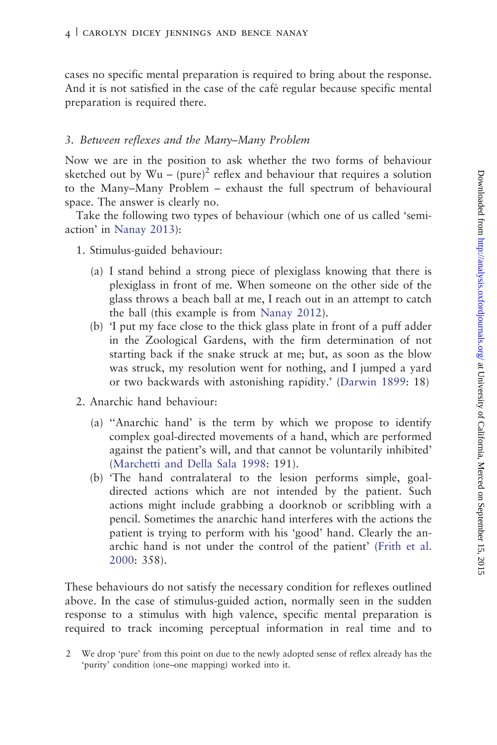cases no specific mental preparation is required to bring about the response. And it is not satisfied in the case of the café regular because specific mental preparation is required there.

### 3. Between reflexes and the Many–Many Problem

Now we are in the position to ask whether the two forms of behaviour sketched out by  $Wu - (pure)^2$  reflex and behaviour that requires a solution to the Many–Many Problem – exhaust the full spectrum of behavioural space. The answer is clearly no.

Take the following two types of behaviour (which one of us called 'semiaction' in [Nanay 2013\)](#page-6-0):

- 1. Stimulus-guided behaviour:
	- (a) I stand behind a strong piece of plexiglass knowing that there is plexiglass in front of me. When someone on the other side of the glass throws a beach ball at me, I reach out in an attempt to catch the ball (this example is from [Nanay 2012\)](#page-6-0).
	- (b) 'I put my face close to the thick glass plate in front of a puff adder in the Zoological Gardens, with the firm determination of not starting back if the snake struck at me; but, as soon as the blow was struck, my resolution went for nothing, and I jumped a yard or two backwards with astonishing rapidity.' [\(Darwin 1899](#page-6-0): 18)
- 2. Anarchic hand behaviour:
	- (a) ''Anarchic hand' is the term by which we propose to identify complex goal-directed movements of a hand, which are performed against the patient's will, and that cannot be voluntarily inhibited' ([Marchetti and Della Sala 1998:](#page-6-0) 191).
	- (b) 'The hand contralateral to the lesion performs simple, goaldirected actions which are not intended by the patient. Such actions might include grabbing a doorknob or scribbling with a pencil. Sometimes the anarchic hand interferes with the actions the patient is trying to perform with his 'good' hand. Clearly the anarchic hand is not under the control of the patient' ([Frith et al.](#page-6-0) [2000](#page-6-0): 358).

These behaviours do not satisfy the necessary condition for reflexes outlined above. In the case of stimulus-guided action, normally seen in the sudden response to a stimulus with high valence, specific mental preparation is required to track incoming perceptual information in real time and to

<sup>2</sup> We drop 'pure' from this point on due to the newly adopted sense of reflex already has the 'purity' condition (one–one mapping) worked into it.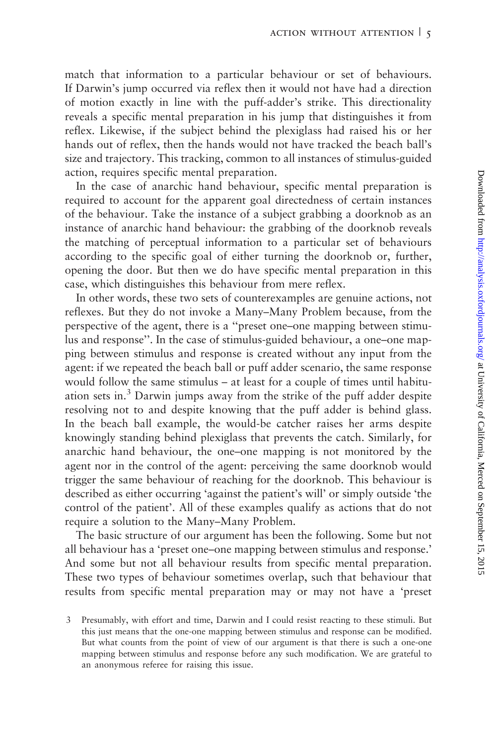match that information to a particular behaviour or set of behaviours. If Darwin's jump occurred via reflex then it would not have had a direction of motion exactly in line with the puff-adder's strike. This directionality reveals a specific mental preparation in his jump that distinguishes it from reflex. Likewise, if the subject behind the plexiglass had raised his or her hands out of reflex, then the hands would not have tracked the beach ball's size and trajectory. This tracking, common to all instances of stimulus-guided action, requires specific mental preparation.

In the case of anarchic hand behaviour, specific mental preparation is required to account for the apparent goal directedness of certain instances of the behaviour. Take the instance of a subject grabbing a doorknob as an instance of anarchic hand behaviour: the grabbing of the doorknob reveals the matching of perceptual information to a particular set of behaviours according to the specific goal of either turning the doorknob or, further, opening the door. But then we do have specific mental preparation in this case, which distinguishes this behaviour from mere reflex.

In other words, these two sets of counterexamples are genuine actions, not reflexes. But they do not invoke a Many–Many Problem because, from the perspective of the agent, there is a ''preset one–one mapping between stimulus and response''. In the case of stimulus-guided behaviour, a one–one mapping between stimulus and response is created without any input from the agent: if we repeated the beach ball or puff adder scenario, the same response would follow the same stimulus – at least for a couple of times until habituation sets in.<sup>3</sup> Darwin jumps away from the strike of the puff adder despite resolving not to and despite knowing that the puff adder is behind glass. In the beach ball example, the would-be catcher raises her arms despite knowingly standing behind plexiglass that prevents the catch. Similarly, for anarchic hand behaviour, the one–one mapping is not monitored by the agent nor in the control of the agent: perceiving the same doorknob would trigger the same behaviour of reaching for the doorknob. This behaviour is described as either occurring 'against the patient's will' or simply outside 'the control of the patient'. All of these examples qualify as actions that do not require a solution to the Many–Many Problem.

The basic structure of our argument has been the following. Some but not all behaviour has a 'preset one–one mapping between stimulus and response.' And some but not all behaviour results from specific mental preparation. These two types of behaviour sometimes overlap, such that behaviour that results from specific mental preparation may or may not have a 'preset

<sup>3</sup> Presumably, with effort and time, Darwin and I could resist reacting to these stimuli. But this just means that the one-one mapping between stimulus and response can be modified. But what counts from the point of view of our argument is that there is such a one-one mapping between stimulus and response before any such modification. We are grateful to an anonymous referee for raising this issue.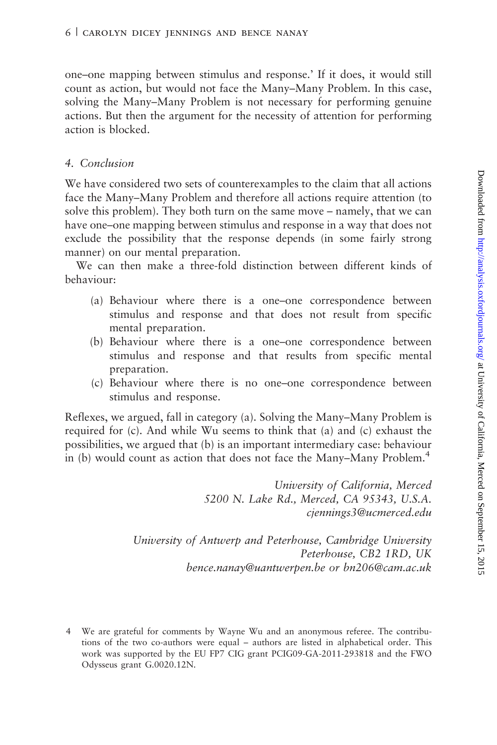one–one mapping between stimulus and response.' If it does, it would still count as action, but would not face the Many–Many Problem. In this case, solving the Many–Many Problem is not necessary for performing genuine actions. But then the argument for the necessity of attention for performing action is blocked.

### 4. Conclusion

We have considered two sets of counterexamples to the claim that all actions face the Many–Many Problem and therefore all actions require attention (to solve this problem). They both turn on the same move – namely, that we can have one–one mapping between stimulus and response in a way that does not exclude the possibility that the response depends (in some fairly strong manner) on our mental preparation.

We can then make a three-fold distinction between different kinds of behaviour:

- (a) Behaviour where there is a one–one correspondence between stimulus and response and that does not result from specific mental preparation.
- (b) Behaviour where there is a one–one correspondence between stimulus and response and that results from specific mental preparation.
- (c) Behaviour where there is no one–one correspondence between stimulus and response.

Reflexes, we argued, fall in category (a). Solving the Many–Many Problem is required for (c). And while Wu seems to think that (a) and (c) exhaust the possibilities, we argued that (b) is an important intermediary case: behaviour in (b) would count as action that does not face the Many–Many Problem.<sup>4</sup>

> University of California, Merced 5200 N. Lake Rd., Merced, CA 95343, U.S.A. cjennings3@ucmerced.edu

University of Antwerp and Peterhouse, Cambridge University Peterhouse, CB2 1RD, UK bence.nanay@uantwerpen.be or bn206@cam.ac.uk

<sup>4</sup> We are grateful for comments by Wayne Wu and an anonymous referee. The contributions of the two co-authors were equal – authors are listed in alphabetical order. This work was supported by the EU FP7 CIG grant PCIG09-GA-2011-293818 and the FWO Odysseus grant G.0020.12N.